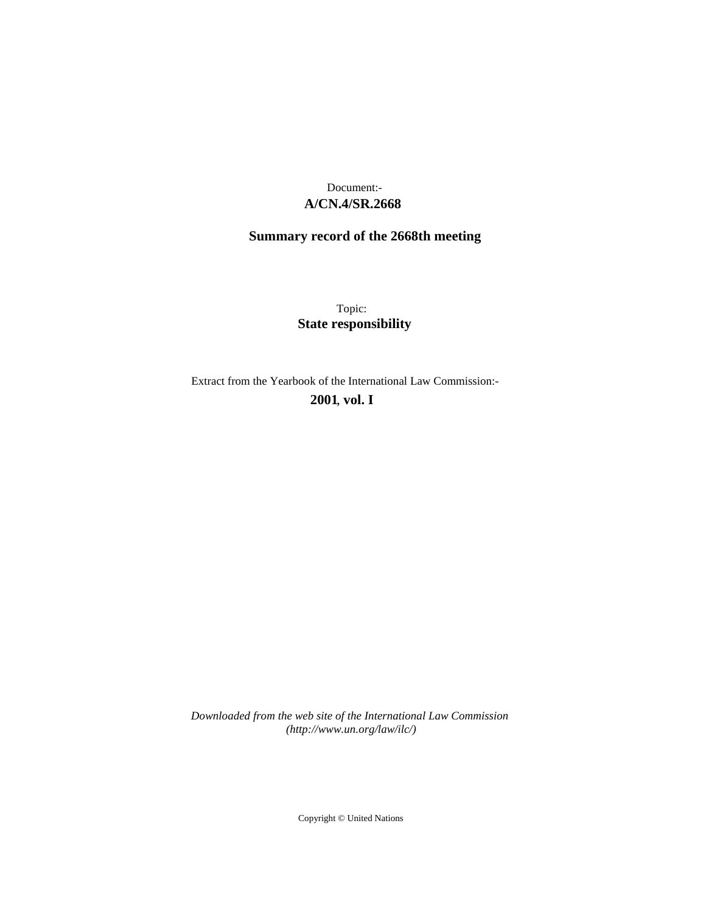# **A/CN.4/SR.2668** Document:-

# **Summary record of the 2668th meeting**

Topic: **State responsibility**

Extract from the Yearbook of the International Law Commission:-

**2001** , **vol. I**

*Downloaded from the web site of the International Law Commission (http://www.un.org/law/ilc/)*

Copyright © United Nations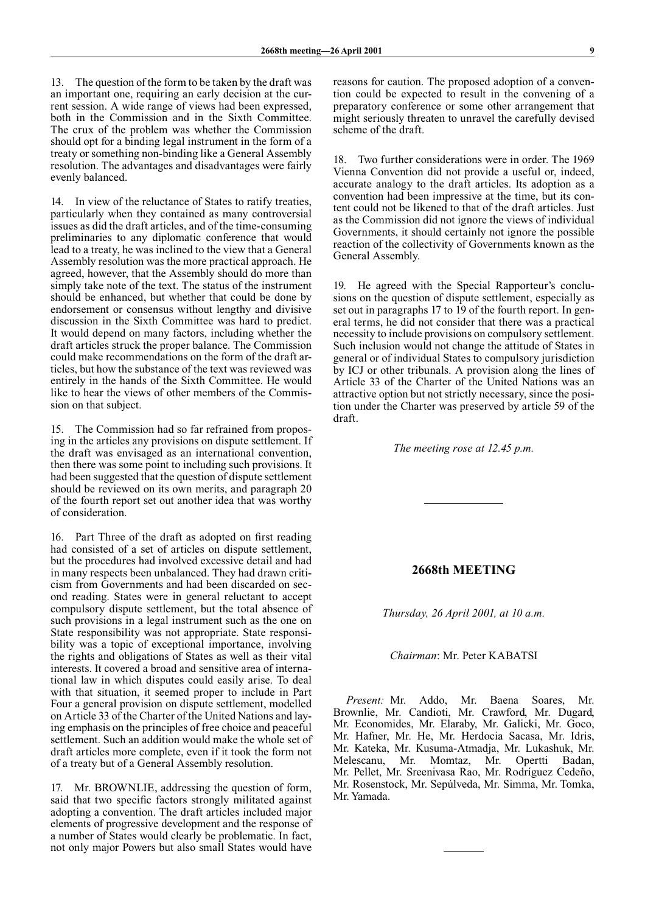13. The question of the form to be taken by the draft was an important one, requiring an early decision at the current session. A wide range of views had been expressed, both in the Commission and in the Sixth Committee. The crux of the problem was whether the Commission should opt for a binding legal instrument in the form of a treaty or something non-binding like a General Assembly resolution. The advantages and disadvantages were fairly evenly balanced.

14. In view of the reluctance of States to ratify treaties, particularly when they contained as many controversial issues as did the draft articles, and of the time-consuming preliminaries to any diplomatic conference that would lead to a treaty, he was inclined to the view that a General Assembly resolution was the more practical approach. He agreed, however, that the Assembly should do more than simply take note of the text. The status of the instrument should be enhanced, but whether that could be done by endorsement or consensus without lengthy and divisive discussion in the Sixth Committee was hard to predict. It would depend on many factors, including whether the draft articles struck the proper balance. The Commission could make recommendations on the form of the draft articles, but how the substance of the text was reviewed was entirely in the hands of the Sixth Committee. He would like to hear the views of other members of the Commission on that subject.

15. The Commission had so far refrained from proposing in the articles any provisions on dispute settlement. If the draft was envisaged as an international convention, then there was some point to including such provisions. It had been suggested that the question of dispute settlement should be reviewed on its own merits, and paragraph 20 of the fourth report set out another idea that was worthy of consideration.

16. Part Three of the draft as adopted on first reading had consisted of a set of articles on dispute settlement, but the procedures had involved excessive detail and had in many respects been unbalanced. They had drawn criticism from Governments and had been discarded on second reading. States were in general reluctant to accept compulsory dispute settlement, but the total absence of such provisions in a legal instrument such as the one on State responsibility was not appropriate. State responsibility was a topic of exceptional importance, involving the rights and obligations of States as well as their vital interests. It covered a broad and sensitive area of international law in which disputes could easily arise. To deal with that situation, it seemed proper to include in Part Four a general provision on dispute settlement, modelled on Article 33 of the Charter of the United Nations and laying emphasis on the principles of free choice and peaceful settlement. Such an addition would make the whole set of draft articles more complete, even if it took the form not of a treaty but of a General Assembly resolution.

17. Mr. BROWNLIE, addressing the question of form, said that two specific factors strongly militated against adopting a convention. The draft articles included major elements of progressive development and the response of a number of States would clearly be problematic. In fact, not only major Powers but also small States would have

reasons for caution. The proposed adoption of a convention could be expected to result in the convening of a preparatory conference or some other arrangement that might seriously threaten to unravel the carefully devised scheme of the draft.

18. Two further considerations were in order. The 1969 Vienna Convention did not provide a useful or, indeed, accurate analogy to the draft articles. Its adoption as a convention had been impressive at the time, but its content could not be likened to that of the draft articles. Just as the Commission did not ignore the views of individual Governments, it should certainly not ignore the possible reaction of the collectivity of Governments known as the General Assembly.

19. He agreed with the Special Rapporteur's conclusions on the question of dispute settlement, especially as set out in paragraphs 17 to 19 of the fourth report. In general terms, he did not consider that there was a practical necessity to include provisions on compulsory settlement. Such inclusion would not change the attitude of States in general or of individual States to compulsory jurisdiction by ICJ or other tribunals. A provision along the lines of Article 33 of the Charter of the United Nations was an attractive option but not strictly necessary, since the position under the Charter was preserved by article 59 of the draft.

#### *The meeting rose at 12.45 p.m.*

### **2668th MEETING**

*Thursday, 26 April 2001, at 10 a.m.*

#### *Chairman*: Mr. Peter KABATSI

*Present:* Mr. Addo, Mr. Baena Soares, Mr. Brownlie, Mr. Candioti, Mr. Crawford, Mr. Dugard, Mr. Economides, Mr. Elaraby, Mr. Galicki, Mr. Goco, Mr. Hafner, Mr. He, Mr. Herdocia Sacasa, Mr. Idris, Mr. Kateka, Mr. Kusuma-Atmadja, Mr. Lukashuk, Mr. Melescanu, Mr. Momtaz, Mr. Opertti Badan, Mr. Pellet, Mr. Sreenivasa Rao, Mr. Rodríguez Cedeño, Mr. Rosenstock, Mr. Sepúlveda, Mr. Simma, Mr. Tomka, Mr. Yamada.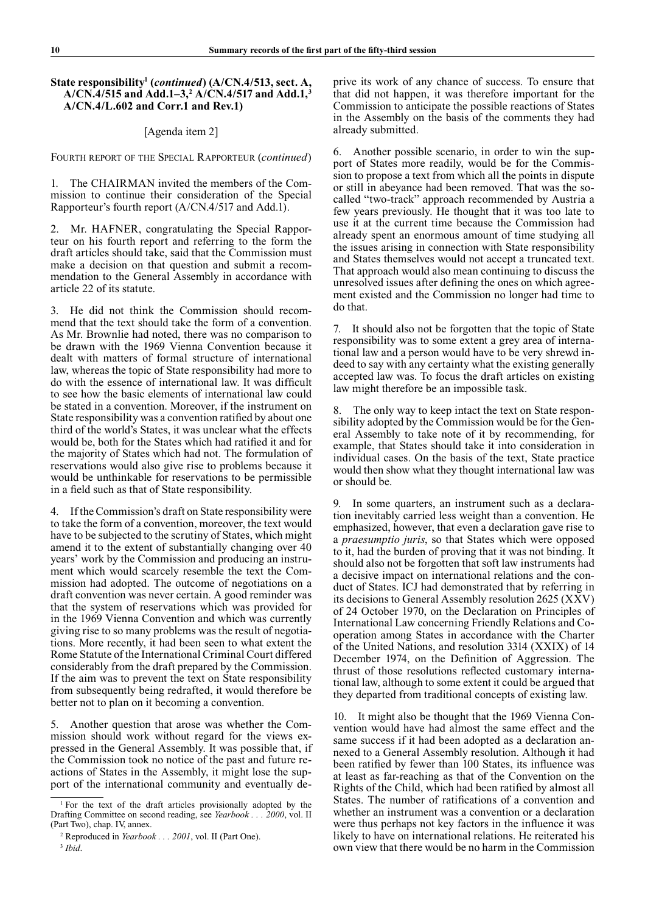## **State responsibility1 (***continued***) (A/CN.4/513, sect. A, A/CN.4/515 and Add.1–3,2 A/CN.4/517 and Add.1,3 A/CN.4/L.602 and Corr.1 and Rev.1)**

## [Agenda item 2]

FOURTH REPORT OF THE SPECIAL RAPPORTEUR (*continued*)

1. The CHAIRMAN invited the members of the Commission to continue their consideration of the Special Rapporteur's fourth report (A/CN.4/517 and Add.1).

2. Mr. HAFNER, congratulating the Special Rapporteur on his fourth report and referring to the form the draft articles should take, said that the Commission must make a decision on that question and submit a recommendation to the General Assembly in accordance with article 22 of its statute.

3. He did not think the Commission should recommend that the text should take the form of a convention. As Mr. Brownlie had noted, there was no comparison to be drawn with the 1969 Vienna Convention because it dealt with matters of formal structure of international law, whereas the topic of State responsibility had more to do with the essence of international law. It was difficult to see how the basic elements of international law could be stated in a convention. Moreover, if the instrument on State responsibility was a convention ratified by about one third of the world's States, it was unclear what the effects would be, both for the States which had ratified it and for the majority of States which had not. The formulation of reservations would also give rise to problems because it would be unthinkable for reservations to be permissible in a field such as that of State responsibility.

4. If the Commission's draft on State responsibility were to take the form of a convention, moreover, the text would have to be subjected to the scrutiny of States, which might amend it to the extent of substantially changing over 40 years' work by the Commission and producing an instrument which would scarcely resemble the text the Commission had adopted. The outcome of negotiations on a draft convention was never certain. A good reminder was that the system of reservations which was provided for in the 1969 Vienna Convention and which was currently giving rise to so many problems was the result of negotiations. More recently, it had been seen to what extent the Rome Statute of the International Criminal Court differed considerably from the draft prepared by the Commission. If the aim was to prevent the text on State responsibility from subsequently being redrafted, it would therefore be better not to plan on it becoming a convention.

5. Another question that arose was whether the Commission should work without regard for the views expressed in the General Assembly. It was possible that, if the Commission took no notice of the past and future reactions of States in the Assembly, it might lose the support of the international community and eventually deprive its work of any chance of success. To ensure that that did not happen, it was therefore important for the Commission to anticipate the possible reactions of States in the Assembly on the basis of the comments they had already submitted.

6. Another possible scenario, in order to win the support of States more readily, would be for the Commission to propose a text from which all the points in dispute or still in abeyance had been removed. That was the socalled "two-track" approach recommended by Austria a few years previously. He thought that it was too late to use it at the current time because the Commission had already spent an enormous amount of time studying all the issues arising in connection with State responsibility and States themselves would not accept a truncated text. That approach would also mean continuing to discuss the unresolved issues after defining the ones on which agreement existed and the Commission no longer had time to do that.

7. It should also not be forgotten that the topic of State responsibility was to some extent a grey area of international law and a person would have to be very shrewd indeed to say with any certainty what the existing generally accepted law was. To focus the draft articles on existing law might therefore be an impossible task.

8. The only way to keep intact the text on State responsibility adopted by the Commission would be for the General Assembly to take note of it by recommending, for example, that States should take it into consideration in individual cases. On the basis of the text, State practice would then show what they thought international law was or should be.

In some quarters, an instrument such as a declaration inevitably carried less weight than a convention. He emphasized, however, that even a declaration gave rise to a *praesumptio juris*, so that States which were opposed to it, had the burden of proving that it was not binding. It should also not be forgotten that soft law instruments had a decisive impact on international relations and the conduct of States. ICJ had demonstrated that by referring in its decisions to General Assembly resolution 2625 (XXV) of 24 October 1970, on the Declaration on Principles of International Law concerning Friendly Relations and Cooperation among States in accordance with the Charter of the United Nations, and resolution 3314 (XXIX) of 14 December 1974, on the Definition of Aggression. The thrust of those resolutions reflected customary international law, although to some extent it could be argued that they departed from traditional concepts of existing law.

10. It might also be thought that the 1969 Vienna Convention would have had almost the same effect and the same success if it had been adopted as a declaration annexed to a General Assembly resolution. Although it had been ratified by fewer than 100 States, its influence was at least as far-reaching as that of the Convention on the Rights of the Child, which had been ratified by almost all States. The number of ratifications of a convention and whether an instrument was a convention or a declaration were thus perhaps not key factors in the influence it was likely to have on international relations. He reiterated his own view that there would be no harm in the Commission

<sup>1</sup> For the text of the draft articles provisionally adopted by the Drafting Committee on second reading, see *Yearbook . . . 2000*, vol. II (Part Two), chap. IV, annex.

<sup>2</sup> Reproduced in *Yearbook . . . 2001*, vol. II (Part One).

<sup>3</sup> *Ibid*.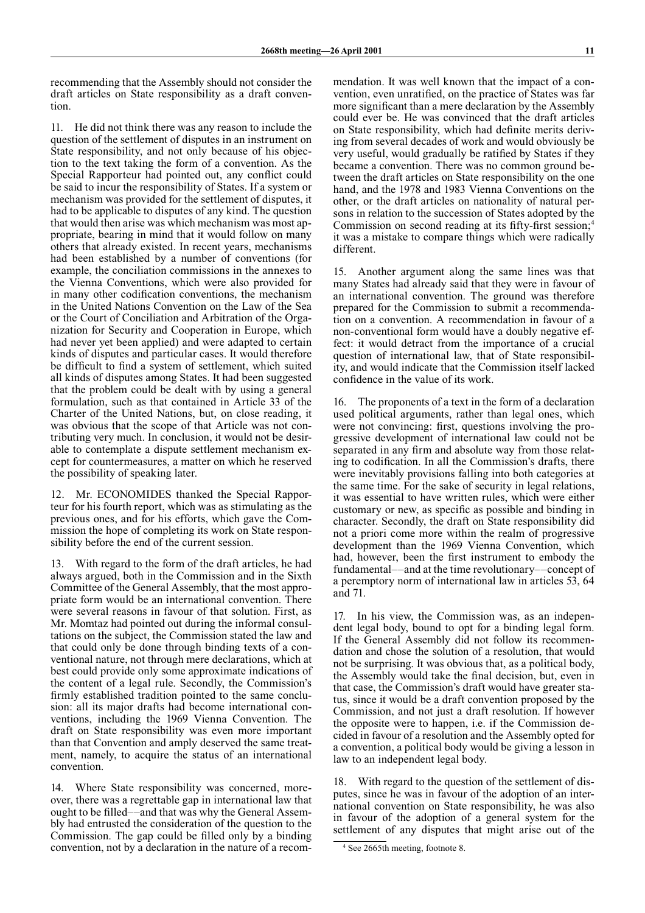recommending that the Assembly should not consider the draft articles on State responsibility as a draft convention.

11. He did not think there was any reason to include the question of the settlement of disputes in an instrument on State responsibility, and not only because of his objection to the text taking the form of a convention. As the Special Rapporteur had pointed out, any conflict could be said to incur the responsibility of States. If a system or mechanism was provided for the settlement of disputes, it had to be applicable to disputes of any kind. The question that would then arise was which mechanism was most appropriate, bearing in mind that it would follow on many others that already existed. In recent years, mechanisms had been established by a number of conventions (for example, the conciliation commissions in the annexes to the Vienna Conventions, which were also provided for in many other codification conventions, the mechanism in the United Nations Convention on the Law of the Sea or the Court of Conciliation and Arbitration of the Organization for Security and Cooperation in Europe, which had never yet been applied) and were adapted to certain kinds of disputes and particular cases. It would therefore be difficult to find a system of settlement, which suited all kinds of disputes among States. It had been suggested that the problem could be dealt with by using a general formulation, such as that contained in Article 33 of the Charter of the United Nations, but, on close reading, it was obvious that the scope of that Article was not contributing very much. In conclusion, it would not be desirable to contemplate a dispute settlement mechanism except for countermeasures, a matter on which he reserved the possibility of speaking later.

12. Mr. ECONOMIDES thanked the Special Rapporteur for his fourth report, which was as stimulating as the previous ones, and for his efforts, which gave the Commission the hope of completing its work on State responsibility before the end of the current session.

13. With regard to the form of the draft articles, he had always argued, both in the Commission and in the Sixth Committee of the General Assembly, that the most appropriate form would be an international convention. There were several reasons in favour of that solution. First, as Mr. Momtaz had pointed out during the informal consultations on the subject, the Commission stated the law and that could only be done through binding texts of a conventional nature, not through mere declarations, which at best could provide only some approximate indications of the content of a legal rule. Secondly, the Commission's firmly established tradition pointed to the same conclusion: all its major drafts had become international conventions, including the 1969 Vienna Convention. The draft on State responsibility was even more important than that Convention and amply deserved the same treatment, namely, to acquire the status of an international convention.

14. Where State responsibility was concerned, moreover, there was a regrettable gap in international law that ought to be filled—–and that was why the General Assembly had entrusted the consideration of the question to the Commission. The gap could be filled only by a binding convention, not by a declaration in the nature of a recommendation. It was well known that the impact of a convention, even unratified, on the practice of States was far more significant than a mere declaration by the Assembly could ever be. He was convinced that the draft articles on State responsibility, which had definite merits deriving from several decades of work and would obviously be very useful, would gradually be ratified by States if they became a convention. There was no common ground between the draft articles on State responsibility on the one hand, and the 1978 and 1983 Vienna Conventions on the other, or the draft articles on nationality of natural persons in relation to the succession of States adopted by the Commission on second reading at its fifty-first session;<sup>4</sup> it was a mistake to compare things which were radically different.

15. Another argument along the same lines was that many States had already said that they were in favour of an international convention. The ground was therefore prepared for the Commission to submit a recommendation on a convention. A recommendation in favour of a non-conventional form would have a doubly negative effect: it would detract from the importance of a crucial question of international law, that of State responsibility, and would indicate that the Commission itself lacked confidence in the value of its work.

16. The proponents of a text in the form of a declaration used political arguments, rather than legal ones, which were not convincing: first, questions involving the progressive development of international law could not be separated in any firm and absolute way from those relating to codification. In all the Commission's drafts, there were inevitably provisions falling into both categories at the same time. For the sake of security in legal relations, it was essential to have written rules, which were either customary or new, as specific as possible and binding in character. Secondly, the draft on State responsibility did not a priori come more within the realm of progressive development than the 1969 Vienna Convention, which had, however, been the first instrument to embody the fundamental––and at the time revolutionary––concept of a peremptory norm of international law in articles 53, 64 and 71.

17. In his view, the Commission was, as an independent legal body, bound to opt for a binding legal form. If the General Assembly did not follow its recommendation and chose the solution of a resolution, that would not be surprising. It was obvious that, as a political body, the Assembly would take the final decision, but, even in that case, the Commission's draft would have greater status, since it would be a draft convention proposed by the Commission, and not just a draft resolution. If however the opposite were to happen, i.e. if the Commission decided in favour of a resolution and the Assembly opted for a convention, a political body would be giving a lesson in law to an independent legal body.

18. With regard to the question of the settlement of disputes, since he was in favour of the adoption of an international convention on State responsibility, he was also in favour of the adoption of a general system for the settlement of any disputes that might arise out of the

<sup>4</sup> See 2665th meeting, footnote 8.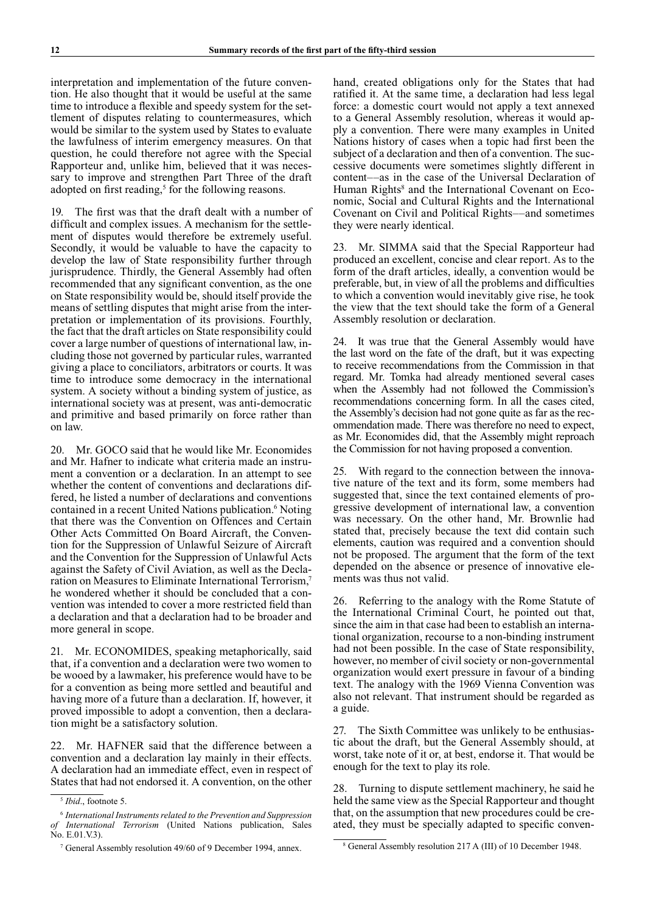interpretation and implementation of the future convention. He also thought that it would be useful at the same time to introduce a flexible and speedy system for the settlement of disputes relating to countermeasures, which would be similar to the system used by States to evaluate the lawfulness of interim emergency measures. On that question, he could therefore not agree with the Special Rapporteur and, unlike him, believed that it was necessary to improve and strengthen Part Three of the draft adopted on first reading,<sup>5</sup> for the following reasons.

19. The first was that the draft dealt with a number of difficult and complex issues. A mechanism for the settlement of disputes would therefore be extremely useful. Secondly, it would be valuable to have the capacity to develop the law of State responsibility further through jurisprudence. Thirdly, the General Assembly had often recommended that any significant convention, as the one on State responsibility would be, should itself provide the means of settling disputes that might arise from the interpretation or implementation of its provisions. Fourthly, the fact that the draft articles on State responsibility could cover a large number of questions of international law, including those not governed by particular rules, warranted giving a place to conciliators, arbitrators or courts. It was time to introduce some democracy in the international system. A society without a binding system of justice, as international society was at present, was anti-democratic and primitive and based primarily on force rather than on law.

20. Mr. GOCO said that he would like Mr. Economides and Mr. Hafner to indicate what criteria made an instrument a convention or a declaration. In an attempt to see whether the content of conventions and declarations differed, he listed a number of declarations and conventions contained in a recent United Nations publication.<sup>6</sup> Noting that there was the Convention on Offences and Certain Other Acts Committed On Board Aircraft, the Convention for the Suppression of Unlawful Seizure of Aircraft and the Convention for the Suppression of Unlawful Acts against the Safety of Civil Aviation, as well as the Declaration on Measures to Eliminate International Terrorism,7 he wondered whether it should be concluded that a convention was intended to cover a more restricted field than a declaration and that a declaration had to be broader and more general in scope.

21. Mr. ECONOMIDES, speaking metaphorically, said that, if a convention and a declaration were two women to be wooed by a lawmaker, his preference would have to be for a convention as being more settled and beautiful and having more of a future than a declaration. If, however, it proved impossible to adopt a convention, then a declaration might be a satisfactory solution.

22. Mr. HAFNER said that the difference between a convention and a declaration lay mainly in their effects. A declaration had an immediate effect, even in respect of States that had not endorsed it. A convention, on the other

hand, created obligations only for the States that had ratified it. At the same time, a declaration had less legal force: a domestic court would not apply a text annexed to a General Assembly resolution, whereas it would apply a convention. There were many examples in United Nations history of cases when a topic had first been the subject of a declaration and then of a convention. The successive documents were sometimes slightly different in content––as in the case of the Universal Declaration of Human Rights<sup>8</sup> and the International Covenant on Economic, Social and Cultural Rights and the International Covenant on Civil and Political Rights––and sometimes they were nearly identical.

23. Mr. SIMMA said that the Special Rapporteur had produced an excellent, concise and clear report. As to the form of the draft articles, ideally, a convention would be preferable, but, in view of all the problems and difficulties to which a convention would inevitably give rise, he took the view that the text should take the form of a General Assembly resolution or declaration.

24. It was true that the General Assembly would have the last word on the fate of the draft, but it was expecting to receive recommendations from the Commission in that regard. Mr. Tomka had already mentioned several cases when the Assembly had not followed the Commission's recommendations concerning form. In all the cases cited, the Assembly's decision had not gone quite as far as the recommendation made. There was therefore no need to expect, as Mr. Economides did, that the Assembly might reproach the Commission for not having proposed a convention.

25. With regard to the connection between the innovative nature of the text and its form, some members had suggested that, since the text contained elements of progressive development of international law, a convention was necessary. On the other hand, Mr. Brownlie had stated that, precisely because the text did contain such elements, caution was required and a convention should not be proposed. The argument that the form of the text depended on the absence or presence of innovative elements was thus not valid.

26. Referring to the analogy with the Rome Statute of the International Criminal Court, he pointed out that, since the aim in that case had been to establish an international organization, recourse to a non-binding instrument had not been possible. In the case of State responsibility, however, no member of civil society or non-governmental organization would exert pressure in favour of a binding text. The analogy with the 1969 Vienna Convention was also not relevant. That instrument should be regarded as a guide.

27. The Sixth Committee was unlikely to be enthusiastic about the draft, but the General Assembly should, at worst, take note of it or, at best, endorse it. That would be enough for the text to play its role.

28. Turning to dispute settlement machinery, he said he held the same view as the Special Rapporteur and thought that, on the assumption that new procedures could be created, they must be specially adapted to specific conven-

<sup>5</sup> *Ibid*., footnote 5.

<sup>6</sup> *International Instruments related to the Prevention and Suppression of International Terrorism* (United Nations publication, Sales No. E.01.V.3).

<sup>&</sup>lt;sup>7</sup> General Assembly resolution 49/60 of 9 December 1994, annex.

General Assembly resolution 217 A (III) of 10 December 1948.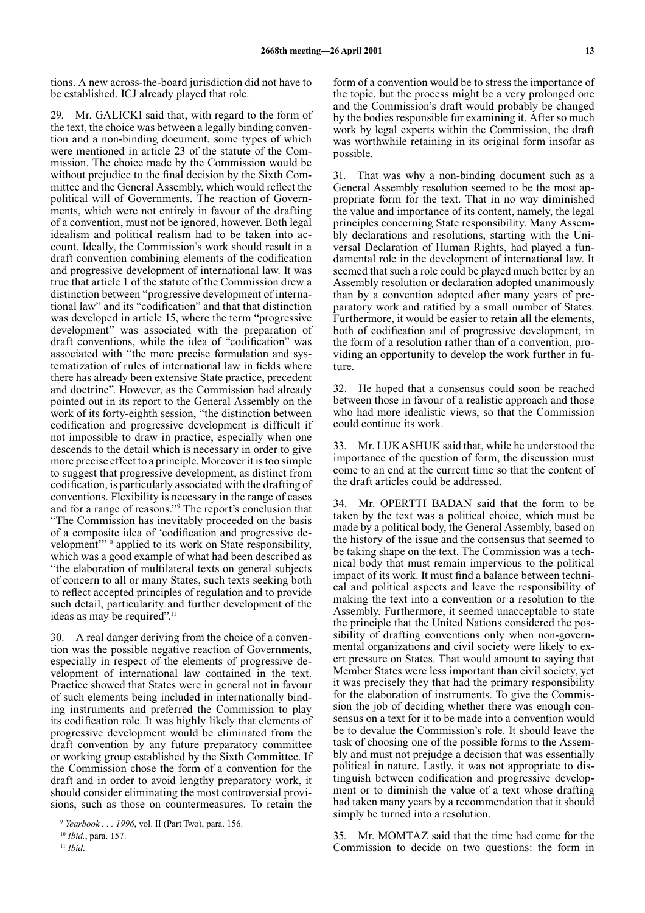tions. A new across-the-board jurisdiction did not have to be established. ICJ already played that role.

29. Mr. GALICKI said that, with regard to the form of the text, the choice was between a legally binding convention and a non-binding document, some types of which were mentioned in article 23 of the statute of the Commission. The choice made by the Commission would be without prejudice to the final decision by the Sixth Committee and the General Assembly, which would reflect the political will of Governments. The reaction of Governments, which were not entirely in favour of the drafting of a convention, must not be ignored, however. Both legal idealism and political realism had to be taken into account. Ideally, the Commission's work should result in a draft convention combining elements of the codification and progressive development of international law. It was true that article 1 of the statute of the Commission drew a distinction between "progressive development of international law" and its "codification" and that that distinction was developed in article 15, where the term "progressive development" was associated with the preparation of draft conventions, while the idea of "codification" was associated with "the more precise formulation and systematization of rules of international law in fields where there has already been extensive State practice, precedent and doctrine". However, as the Commission had already pointed out in its report to the General Assembly on the work of its forty-eighth session, "the distinction between codification and progressive development is difficult if not impossible to draw in practice, especially when one descends to the detail which is necessary in order to give more precise effect to a principle. Moreover it is too simple to suggest that progressive development, as distinct from codification, is particularly associated with the drafting of conventions. Flexibility is necessary in the range of cases and for a range of reasons."9 The report's conclusion that "The Commission has inevitably proceeded on the basis of a composite idea of 'codification and progressive development"<sup>10</sup> applied to its work on State responsibility, which was a good example of what had been described as "the elaboration of multilateral texts on general subjects of concern to all or many States, such texts seeking both to reflect accepted principles of regulation and to provide such detail, particularity and further development of the ideas as may be required".11

30. A real danger deriving from the choice of a convention was the possible negative reaction of Governments, especially in respect of the elements of progressive development of international law contained in the text. Practice showed that States were in general not in favour of such elements being included in internationally binding instruments and preferred the Commission to play its codification role. It was highly likely that elements of progressive development would be eliminated from the draft convention by any future preparatory committee or working group established by the Sixth Committee. If the Commission chose the form of a convention for the draft and in order to avoid lengthy preparatory work, it should consider eliminating the most controversial provisions, such as those on countermeasures. To retain the

form of a convention would be to stress the importance of the topic, but the process might be a very prolonged one and the Commission's draft would probably be changed by the bodies responsible for examining it. After so much work by legal experts within the Commission, the draft was worthwhile retaining in its original form insofar as possible.

31. That was why a non-binding document such as a General Assembly resolution seemed to be the most appropriate form for the text. That in no way diminished the value and importance of its content, namely, the legal principles concerning State responsibility. Many Assembly declarations and resolutions, starting with the Universal Declaration of Human Rights, had played a fundamental role in the development of international law. It seemed that such a role could be played much better by an Assembly resolution or declaration adopted unanimously than by a convention adopted after many years of preparatory work and ratified by a small number of States. Furthermore, it would be easier to retain all the elements, both of codification and of progressive development, in the form of a resolution rather than of a convention, providing an opportunity to develop the work further in future.

32. He hoped that a consensus could soon be reached between those in favour of a realistic approach and those who had more idealistic views, so that the Commission could continue its work.

33. Mr. LUKASHUK said that, while he understood the importance of the question of form, the discussion must come to an end at the current time so that the content of the draft articles could be addressed.

34. Mr. OPERTTI BADAN said that the form to be taken by the text was a political choice, which must be made by a political body, the General Assembly, based on the history of the issue and the consensus that seemed to be taking shape on the text. The Commission was a technical body that must remain impervious to the political impact of its work. It must find a balance between technical and political aspects and leave the responsibility of making the text into a convention or a resolution to the Assembly. Furthermore, it seemed unacceptable to state the principle that the United Nations considered the possibility of drafting conventions only when non-governmental organizations and civil society were likely to exert pressure on States. That would amount to saying that Member States were less important than civil society, yet it was precisely they that had the primary responsibility for the elaboration of instruments. To give the Commission the job of deciding whether there was enough consensus on a text for it to be made into a convention would be to devalue the Commission's role. It should leave the task of choosing one of the possible forms to the Assembly and must not prejudge a decision that was essentially political in nature. Lastly, it was not appropriate to distinguish between codification and progressive development or to diminish the value of a text whose drafting had taken many years by a recommendation that it should simply be turned into a resolution.

35. Mr. MOMTAZ said that the time had come for the Commission to decide on two questions: the form in

<sup>9</sup> *Yearbook . . . 1996*, vol. II (Part Two), para. 156.

<sup>10</sup> *Ibid.*, para. 157.

<sup>11</sup> *Ibid*.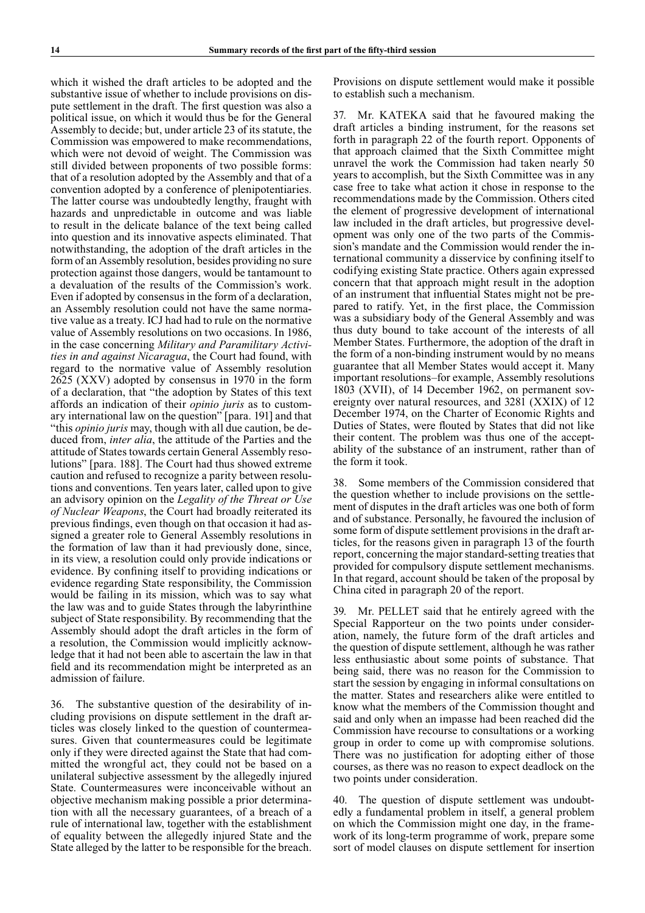which it wished the draft articles to be adopted and the substantive issue of whether to include provisions on dispute settlement in the draft. The first question was also a political issue, on which it would thus be for the General Assembly to decide; but, under article 23 of its statute, the Commission was empowered to make recommendations, which were not devoid of weight. The Commission was still divided between proponents of two possible forms: that of a resolution adopted by the Assembly and that of a convention adopted by a conference of plenipotentiaries. The latter course was undoubtedly lengthy, fraught with hazards and unpredictable in outcome and was liable to result in the delicate balance of the text being called into question and its innovative aspects eliminated. That notwithstanding, the adoption of the draft articles in the form of an Assembly resolution, besides providing no sure protection against those dangers, would be tantamount to a devaluation of the results of the Commission's work. Even if adopted by consensus in the form of a declaration, an Assembly resolution could not have the same normative value as a treaty. ICJ had had to rule on the normative value of Assembly resolutions on two occasions. In 1986, in the case concerning *Military and Paramilitary Activities in and against Nicaragua*, the Court had found, with regard to the normative value of Assembly resolution 2625 (XXV) adopted by consensus in 1970 in the form of a declaration, that "the adoption by States of this text affords an indication of their *opinio juris* as to customary international law on the question" [para. 191] and that "this *opinio juris* may, though with all due caution, be deduced from, *inter alia*, the attitude of the Parties and the attitude of States towards certain General Assembly resolutions" [para. 188]. The Court had thus showed extreme caution and refused to recognize a parity between resolutions and conventions. Ten years later, called upon to give an advisory opinion on the *Legality of the Threat or Use of Nuclear Weapons*, the Court had broadly reiterated its previous findings, even though on that occasion it had assigned a greater role to General Assembly resolutions in the formation of law than it had previously done, since, in its view, a resolution could only provide indications or evidence. By confining itself to providing indications or evidence regarding State responsibility, the Commission would be failing in its mission, which was to say what the law was and to guide States through the labyrinthine subject of State responsibility. By recommending that the Assembly should adopt the draft articles in the form of a resolution, the Commission would implicitly acknowledge that it had not been able to ascertain the law in that field and its recommendation might be interpreted as an admission of failure.

36. The substantive question of the desirability of including provisions on dispute settlement in the draft articles was closely linked to the question of countermeasures. Given that countermeasures could be legitimate only if they were directed against the State that had committed the wrongful act, they could not be based on a unilateral subjective assessment by the allegedly injured State. Countermeasures were inconceivable without an objective mechanism making possible a prior determination with all the necessary guarantees, of a breach of a rule of international law, together with the establishment of equality between the allegedly injured State and the State alleged by the latter to be responsible for the breach.

Provisions on dispute settlement would make it possible to establish such a mechanism.

37. Mr. KATEKA said that he favoured making the draft articles a binding instrument, for the reasons set forth in paragraph 22 of the fourth report. Opponents of that approach claimed that the Sixth Committee might unravel the work the Commission had taken nearly 50 years to accomplish, but the Sixth Committee was in any case free to take what action it chose in response to the recommendations made by the Commission. Others cited the element of progressive development of international law included in the draft articles, but progressive development was only one of the two parts of the Commission's mandate and the Commission would render the international community a disservice by confining itself to codifying existing State practice. Others again expressed concern that that approach might result in the adoption of an instrument that influential States might not be prepared to ratify. Yet, in the first place, the Commission was a subsidiary body of the General Assembly and was thus duty bound to take account of the interests of all Member States. Furthermore, the adoption of the draft in the form of a non-binding instrument would by no means guarantee that all Member States would accept it. Many important resolutions–for example, Assembly resolutions 1803 (XVII), of 14 December 1962, on permanent sovereignty over natural resources, and 3281 (XXIX) of 12 December 1974, on the Charter of Economic Rights and Duties of States, were flouted by States that did not like their content. The problem was thus one of the acceptability of the substance of an instrument, rather than of the form it took.

38. Some members of the Commission considered that the question whether to include provisions on the settlement of disputes in the draft articles was one both of form and of substance. Personally, he favoured the inclusion of some form of dispute settlement provisions in the draft articles, for the reasons given in paragraph 13 of the fourth report, concerning the major standard-setting treaties that provided for compulsory dispute settlement mechanisms. In that regard, account should be taken of the proposal by China cited in paragraph 20 of the report.

39. Mr. PELLET said that he entirely agreed with the Special Rapporteur on the two points under consideration, namely, the future form of the draft articles and the question of dispute settlement, although he was rather less enthusiastic about some points of substance. That being said, there was no reason for the Commission to start the session by engaging in informal consultations on the matter. States and researchers alike were entitled to know what the members of the Commission thought and said and only when an impasse had been reached did the Commission have recourse to consultations or a working group in order to come up with compromise solutions. There was no justification for adopting either of those courses, as there was no reason to expect deadlock on the two points under consideration.

40. The question of dispute settlement was undoubtedly a fundamental problem in itself, a general problem on which the Commission might one day, in the framework of its long-term programme of work, prepare some sort of model clauses on dispute settlement for insertion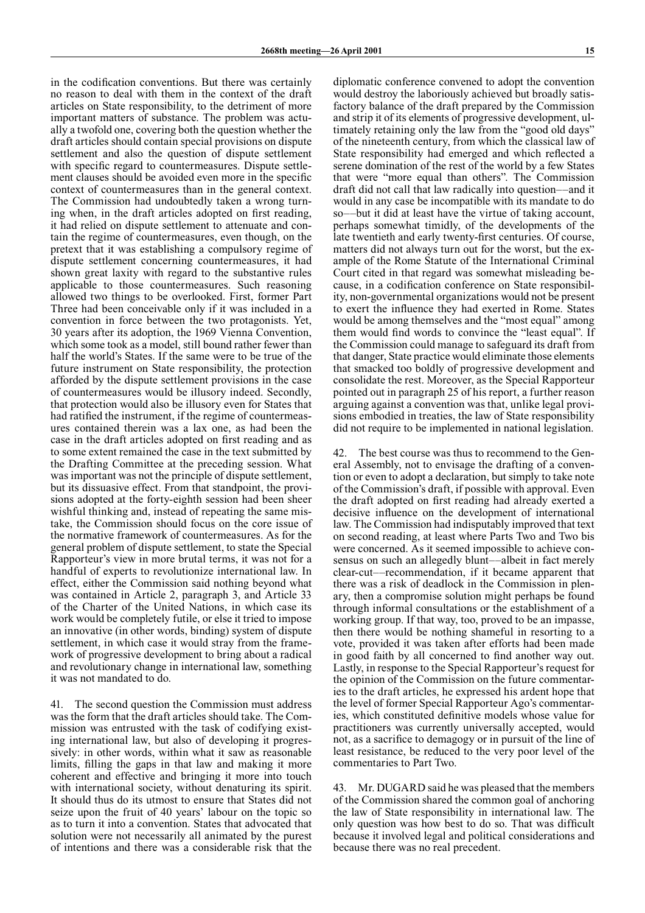in the codification conventions. But there was certainly no reason to deal with them in the context of the draft articles on State responsibility, to the detriment of more important matters of substance. The problem was actually a twofold one, covering both the question whether the draft articles should contain special provisions on dispute settlement and also the question of dispute settlement with specific regard to countermeasures. Dispute settlement clauses should be avoided even more in the specific context of countermeasures than in the general context. The Commission had undoubtedly taken a wrong turning when, in the draft articles adopted on first reading, it had relied on dispute settlement to attenuate and contain the regime of countermeasures, even though, on the pretext that it was establishing a compulsory regime of dispute settlement concerning countermeasures, it had shown great laxity with regard to the substantive rules applicable to those countermeasures. Such reasoning allowed two things to be overlooked. First, former Part Three had been conceivable only if it was included in a convention in force between the two protagonists. Yet, 30 years after its adoption, the 1969 Vienna Convention, which some took as a model, still bound rather fewer than half the world's States. If the same were to be true of the future instrument on State responsibility, the protection afforded by the dispute settlement provisions in the case of countermeasures would be illusory indeed. Secondly, that protection would also be illusory even for States that had ratified the instrument, if the regime of countermeasures contained therein was a lax one, as had been the case in the draft articles adopted on first reading and as to some extent remained the case in the text submitted by the Drafting Committee at the preceding session. What was important was not the principle of dispute settlement, but its dissuasive effect. From that standpoint, the provisions adopted at the forty-eighth session had been sheer wishful thinking and, instead of repeating the same mistake, the Commission should focus on the core issue of the normative framework of countermeasures. As for the general problem of dispute settlement, to state the Special Rapporteur's view in more brutal terms, it was not for a handful of experts to revolutionize international law. In effect, either the Commission said nothing beyond what was contained in Article 2, paragraph 3, and Article 33 of the Charter of the United Nations, in which case its work would be completely futile, or else it tried to impose an innovative (in other words, binding) system of dispute settlement, in which case it would stray from the framework of progressive development to bring about a radical and revolutionary change in international law, something it was not mandated to do.

41. The second question the Commission must address was the form that the draft articles should take. The Commission was entrusted with the task of codifying existing international law, but also of developing it progressively: in other words, within what it saw as reasonable limits, filling the gaps in that law and making it more coherent and effective and bringing it more into touch with international society, without denaturing its spirit. It should thus do its utmost to ensure that States did not seize upon the fruit of 40 years' labour on the topic so as to turn it into a convention. States that advocated that solution were not necessarily all animated by the purest of intentions and there was a considerable risk that the

diplomatic conference convened to adopt the convention would destroy the laboriously achieved but broadly satisfactory balance of the draft prepared by the Commission and strip it of its elements of progressive development, ultimately retaining only the law from the "good old days" of the nineteenth century, from which the classical law of State responsibility had emerged and which reflected a serene domination of the rest of the world by a few States that were "more equal than others". The Commission draft did not call that law radically into question––and it would in any case be incompatible with its mandate to do so––but it did at least have the virtue of taking account, perhaps somewhat timidly, of the developments of the late twentieth and early twenty-first centuries. Of course, matters did not always turn out for the worst, but the example of the Rome Statute of the International Criminal Court cited in that regard was somewhat misleading because, in a codification conference on State responsibility, non-governmental organizations would not be present to exert the influence they had exerted in Rome. States would be among themselves and the "most equal" among them would find words to convince the "least equal". If the Commission could manage to safeguard its draft from that danger, State practice would eliminate those elements that smacked too boldly of progressive development and consolidate the rest. Moreover, as the Special Rapporteur pointed out in paragraph 25 of his report, a further reason arguing against a convention was that, unlike legal provisions embodied in treaties, the law of State responsibility did not require to be implemented in national legislation.

42. The best course was thus to recommend to the General Assembly, not to envisage the drafting of a convention or even to adopt a declaration, but simply to take note of the Commission's draft, if possible with approval. Even the draft adopted on first reading had already exerted a decisive influence on the development of international law. The Commission had indisputably improved that text on second reading, at least where Parts Two and Two bis were concerned. As it seemed impossible to achieve consensus on such an allegedly blunt––albeit in fact merely clear-cut––recommendation, if it became apparent that there was a risk of deadlock in the Commission in plenary, then a compromise solution might perhaps be found through informal consultations or the establishment of a working group. If that way, too, proved to be an impasse, then there would be nothing shameful in resorting to a vote, provided it was taken after efforts had been made in good faith by all concerned to find another way out. Lastly, in response to the Special Rapporteur's request for the opinion of the Commission on the future commentaries to the draft articles, he expressed his ardent hope that the level of former Special Rapporteur Ago's commentaries, which constituted definitive models whose value for practitioners was currently universally accepted, would not, as a sacrifice to demagogy or in pursuit of the line of least resistance, be reduced to the very poor level of the commentaries to Part Two.

43. Mr. DUGARD said he was pleased that the members of the Commission shared the common goal of anchoring the law of State responsibility in international law. The only question was how best to do so. That was difficult because it involved legal and political considerations and because there was no real precedent.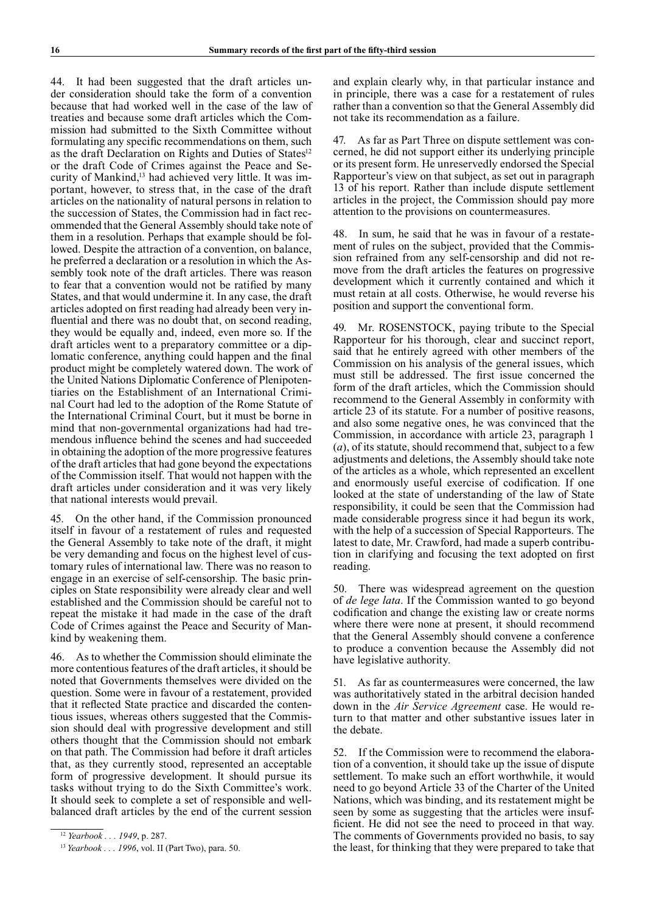44. It had been suggested that the draft articles under consideration should take the form of a convention because that had worked well in the case of the law of treaties and because some draft articles which the Commission had submitted to the Sixth Committee without formulating any specific recommendations on them, such as the draft Declaration on Rights and Duties of States<sup>12</sup> or the draft Code of Crimes against the Peace and Security of Mankind,13 had achieved very little. It was important, however, to stress that, in the case of the draft articles on the nationality of natural persons in relation to the succession of States, the Commission had in fact recommended that the General Assembly should take note of them in a resolution. Perhaps that example should be followed. Despite the attraction of a convention, on balance, he preferred a declaration or a resolution in which the Assembly took note of the draft articles. There was reason to fear that a convention would not be ratified by many States, and that would undermine it. In any case, the draft articles adopted on first reading had already been very influential and there was no doubt that, on second reading, they would be equally and, indeed, even more so. If the draft articles went to a preparatory committee or a diplomatic conference, anything could happen and the final product might be completely watered down. The work of the United Nations Diplomatic Conference of Plenipotentiaries on the Establishment of an International Criminal Court had led to the adoption of the Rome Statute of the International Criminal Court, but it must be borne in mind that non-governmental organizations had had tremendous influence behind the scenes and had succeeded in obtaining the adoption of the more progressive features of the draft articles that had gone beyond the expectations of the Commission itself. That would not happen with the draft articles under consideration and it was very likely that national interests would prevail.

45. On the other hand, if the Commission pronounced itself in favour of a restatement of rules and requested the General Assembly to take note of the draft, it might be very demanding and focus on the highest level of customary rules of international law. There was no reason to engage in an exercise of self-censorship. The basic principles on State responsibility were already clear and well established and the Commission should be careful not to repeat the mistake it had made in the case of the draft Code of Crimes against the Peace and Security of Mankind by weakening them.

As to whether the Commission should eliminate the more contentious features of the draft articles, it should be noted that Governments themselves were divided on the question. Some were in favour of a restatement, provided that it reflected State practice and discarded the contentious issues, whereas others suggested that the Commission should deal with progressive development and still others thought that the Commission should not embark on that path. The Commission had before it draft articles that, as they currently stood, represented an acceptable form of progressive development. It should pursue its tasks without trying to do the Sixth Committee's work. It should seek to complete a set of responsible and wellbalanced draft articles by the end of the current session

and explain clearly why, in that particular instance and in principle, there was a case for a restatement of rules rather than a convention so that the General Assembly did not take its recommendation as a failure.

47. As far as Part Three on dispute settlement was concerned, he did not support either its underlying principle or its present form. He unreservedly endorsed the Special Rapporteur's view on that subject, as set out in paragraph 13 of his report. Rather than include dispute settlement articles in the project, the Commission should pay more attention to the provisions on countermeasures.

48. In sum, he said that he was in favour of a restatement of rules on the subject, provided that the Commission refrained from any self-censorship and did not remove from the draft articles the features on progressive development which it currently contained and which it must retain at all costs. Otherwise, he would reverse his position and support the conventional form.

49. Mr. ROSENSTOCK, paying tribute to the Special Rapporteur for his thorough, clear and succinct report, said that he entirely agreed with other members of the Commission on his analysis of the general issues, which must still be addressed. The first issue concerned the form of the draft articles, which the Commission should recommend to the General Assembly in conformity with article 23 of its statute. For a number of positive reasons, and also some negative ones, he was convinced that the Commission, in accordance with article 23, paragraph 1 (*a*), of its statute, should recommend that, subject to a few adjustments and deletions, the Assembly should take note of the articles as a whole, which represented an excellent and enormously useful exercise of codification. If one looked at the state of understanding of the law of State responsibility, it could be seen that the Commission had made considerable progress since it had begun its work, with the help of a succession of Special Rapporteurs. The latest to date, Mr. Crawford, had made a superb contribution in clarifying and focusing the text adopted on first reading.

50. There was widespread agreement on the question of *de lege lata*. If the Commission wanted to go beyond codification and change the existing law or create norms where there were none at present, it should recommend that the General Assembly should convene a conference to produce a convention because the Assembly did not have legislative authority.

51. As far as countermeasures were concerned, the law was authoritatively stated in the arbitral decision handed down in the *Air Service Agreement* case. He would return to that matter and other substantive issues later in the debate.

52. If the Commission were to recommend the elaboration of a convention, it should take up the issue of dispute settlement. To make such an effort worthwhile, it would need to go beyond Article 33 of the Charter of the United Nations, which was binding, and its restatement might be seen by some as suggesting that the articles were insufficient. He did not see the need to proceed in that way. The comments of Governments provided no basis, to say the least, for thinking that they were prepared to take that

<sup>12</sup> *Yearbook . . . 1949*, p. 287.

<sup>13</sup> *Yearbook . . . 1996*, vol. II (Part Two), para. 50.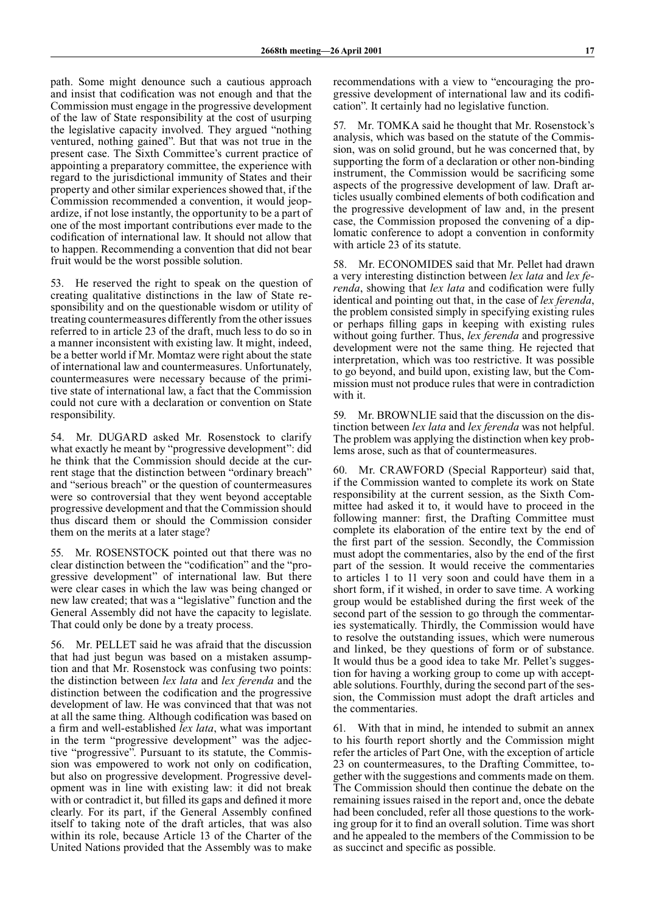path. Some might denounce such a cautious approach and insist that codification was not enough and that the Commission must engage in the progressive development of the law of State responsibility at the cost of usurping the legislative capacity involved. They argued "nothing ventured, nothing gained". But that was not true in the present case. The Sixth Committee's current practice of appointing a preparatory committee, the experience with regard to the jurisdictional immunity of States and their property and other similar experiences showed that, if the Commission recommended a convention, it would jeopardize, if not lose instantly, the opportunity to be a part of one of the most important contributions ever made to the codification of international law. It should not allow that to happen. Recommending a convention that did not bear fruit would be the worst possible solution.

53. He reserved the right to speak on the question of creating qualitative distinctions in the law of State responsibility and on the questionable wisdom or utility of treating countermeasures differently from the other issues referred to in article 23 of the draft, much less to do so in a manner inconsistent with existing law. It might, indeed, be a better world if Mr. Momtaz were right about the state of international law and countermeasures. Unfortunately, countermeasures were necessary because of the primitive state of international law, a fact that the Commission could not cure with a declaration or convention on State responsibility.

54. Mr. DUGARD asked Mr. Rosenstock to clarify what exactly he meant by "progressive development": did he think that the Commission should decide at the current stage that the distinction between "ordinary breach" and "serious breach" or the question of countermeasures were so controversial that they went beyond acceptable progressive development and that the Commission should thus discard them or should the Commission consider them on the merits at a later stage?

55. Mr. ROSENSTOCK pointed out that there was no clear distinction between the "codification" and the "progressive development" of international law. But there were clear cases in which the law was being changed or new law created; that was a "legislative" function and the General Assembly did not have the capacity to legislate. That could only be done by a treaty process.

56. Mr. PELLET said he was afraid that the discussion that had just begun was based on a mistaken assumption and that Mr. Rosenstock was confusing two points: the distinction between *lex lata* and *lex ferenda* and the distinction between the codification and the progressive development of law. He was convinced that that was not at all the same thing. Although codification was based on a firm and well-established *lex lata*, what was important in the term "progressive development" was the adjective "progressive". Pursuant to its statute, the Commission was empowered to work not only on codification, but also on progressive development. Progressive development was in line with existing law: it did not break with or contradict it, but filled its gaps and defined it more clearly. For its part, if the General Assembly confined itself to taking note of the draft articles, that was also within its role, because Article 13 of the Charter of the United Nations provided that the Assembly was to make

recommendations with a view to "encouraging the progressive development of international law and its codification". It certainly had no legislative function.

57. Mr. TOMKA said he thought that Mr. Rosenstock's analysis, which was based on the statute of the Commission, was on solid ground, but he was concerned that, by supporting the form of a declaration or other non-binding instrument, the Commission would be sacrificing some aspects of the progressive development of law. Draft articles usually combined elements of both codification and the progressive development of law and, in the present case, the Commission proposed the convening of a diplomatic conference to adopt a convention in conformity with article 23 of its statute.

58. Mr. ECONOMIDES said that Mr. Pellet had drawn a very interesting distinction between *lex lata* and *lex ferenda*, showing that *lex lata* and codification were fully identical and pointing out that, in the case of *lex ferenda*, the problem consisted simply in specifying existing rules or perhaps filling gaps in keeping with existing rules without going further. Thus, *lex ferenda* and progressive development were not the same thing. He rejected that interpretation, which was too restrictive. It was possible to go beyond, and build upon, existing law, but the Commission must not produce rules that were in contradiction with it.

59. Mr. BROWNLIE said that the discussion on the distinction between *lex lata* and *lex ferenda* was not helpful. The problem was applying the distinction when key problems arose, such as that of countermeasures.

60. Mr. CRAWFORD (Special Rapporteur) said that, if the Commission wanted to complete its work on State responsibility at the current session, as the Sixth Committee had asked it to, it would have to proceed in the following manner: first, the Drafting Committee must complete its elaboration of the entire text by the end of the first part of the session. Secondly, the Commission must adopt the commentaries, also by the end of the first part of the session. It would receive the commentaries to articles 1 to 11 very soon and could have them in a short form, if it wished, in order to save time. A working group would be established during the first week of the second part of the session to go through the commentaries systematically. Thirdly, the Commission would have to resolve the outstanding issues, which were numerous and linked, be they questions of form or of substance. It would thus be a good idea to take Mr. Pellet's suggestion for having a working group to come up with acceptable solutions. Fourthly, during the second part of the session, the Commission must adopt the draft articles and the commentaries.

With that in mind, he intended to submit an annex to his fourth report shortly and the Commission might refer the articles of Part One, with the exception of article 23 on countermeasures, to the Drafting Committee, together with the suggestions and comments made on them. The Commission should then continue the debate on the remaining issues raised in the report and, once the debate had been concluded, refer all those questions to the working group for it to find an overall solution. Time was short and he appealed to the members of the Commission to be as succinct and specific as possible.